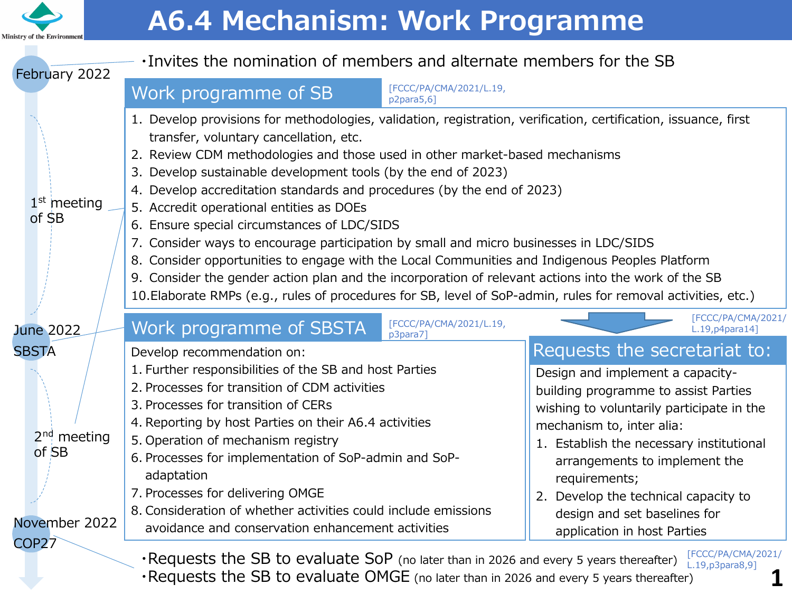

# **A6.4 Mechanism: Work Programme**

| . Invites the nomination of members and alternate members for the SB<br>February 2022                                                          |                                                                                                                                                                                                                                                                                                                                                                                                                                                                                                                                                                                                                                                                                                                                                                                                                                                                                                    |                                                                                                                                                                                                                                                                                                                                                                                         |
|------------------------------------------------------------------------------------------------------------------------------------------------|----------------------------------------------------------------------------------------------------------------------------------------------------------------------------------------------------------------------------------------------------------------------------------------------------------------------------------------------------------------------------------------------------------------------------------------------------------------------------------------------------------------------------------------------------------------------------------------------------------------------------------------------------------------------------------------------------------------------------------------------------------------------------------------------------------------------------------------------------------------------------------------------------|-----------------------------------------------------------------------------------------------------------------------------------------------------------------------------------------------------------------------------------------------------------------------------------------------------------------------------------------------------------------------------------------|
|                                                                                                                                                | [FCCC/PA/CMA/2021/L.19,<br>Work programme of SB<br>p2para5,6]                                                                                                                                                                                                                                                                                                                                                                                                                                                                                                                                                                                                                                                                                                                                                                                                                                      |                                                                                                                                                                                                                                                                                                                                                                                         |
| $1st$ meeting<br>of SB                                                                                                                         | 1. Develop provisions for methodologies, validation, registration, verification, certification, issuance, first<br>transfer, voluntary cancellation, etc.<br>2. Review CDM methodologies and those used in other market-based mechanisms<br>3. Develop sustainable development tools (by the end of 2023)<br>4. Develop accreditation standards and procedures (by the end of 2023)<br>5. Accredit operational entities as DOEs<br>6. Ensure special circumstances of LDC/SIDS<br>7. Consider ways to encourage participation by small and micro businesses in LDC/SIDS<br>8. Consider opportunities to engage with the Local Communities and Indigenous Peoples Platform<br>9. Consider the gender action plan and the incorporation of relevant actions into the work of the SB<br>10. Elaborate RMPs (e.g., rules of procedures for SB, level of SoP-admin, rules for removal activities, etc.) |                                                                                                                                                                                                                                                                                                                                                                                         |
| <b>June 2022</b>                                                                                                                               | [FCCC/PA/CMA/2021/L.19,<br><b>Work programme of SBSTA</b><br>p3para7]                                                                                                                                                                                                                                                                                                                                                                                                                                                                                                                                                                                                                                                                                                                                                                                                                              | [FCCC/PA/CMA/2021/<br>$L.19$ , p4para $14$ ]                                                                                                                                                                                                                                                                                                                                            |
| <b>SBSTA</b><br>$2nd$ meeting<br>of SB<br>November 2022<br>COP <sub>27</sub>                                                                   | Develop recommendation on:<br>1. Further responsibilities of the SB and host Parties<br>2. Processes for transition of CDM activities<br>3. Processes for transition of CERs<br>4. Reporting by host Parties on their A6.4 activities<br>5. Operation of mechanism registry<br>6. Processes for implementation of SoP-admin and SoP-<br>adaptation<br>7. Processes for delivering OMGE<br>8. Consideration of whether activities could include emissions<br>avoidance and conservation enhancement activities                                                                                                                                                                                                                                                                                                                                                                                      | Requests the secretariat to:<br>Design and implement a capacity-<br>building programme to assist Parties<br>wishing to voluntarily participate in the<br>mechanism to, inter alia:<br>1. Establish the necessary institutional<br>arrangements to implement the<br>requirements;<br>2. Develop the technical capacity to<br>design and set baselines for<br>application in host Parties |
| [FCCC/PA/CMA/2021/<br>$\cdot$ Requests the SB to evaluate SoP (no later than in 2026 and every 5 years thereafter)<br>$L.19$ , $p3$ para $8,9$ |                                                                                                                                                                                                                                                                                                                                                                                                                                                                                                                                                                                                                                                                                                                                                                                                                                                                                                    |                                                                                                                                                                                                                                                                                                                                                                                         |

・Requests the SB to evaluate OMGE (no later than in 2026 and every 5 years thereafter)

**1**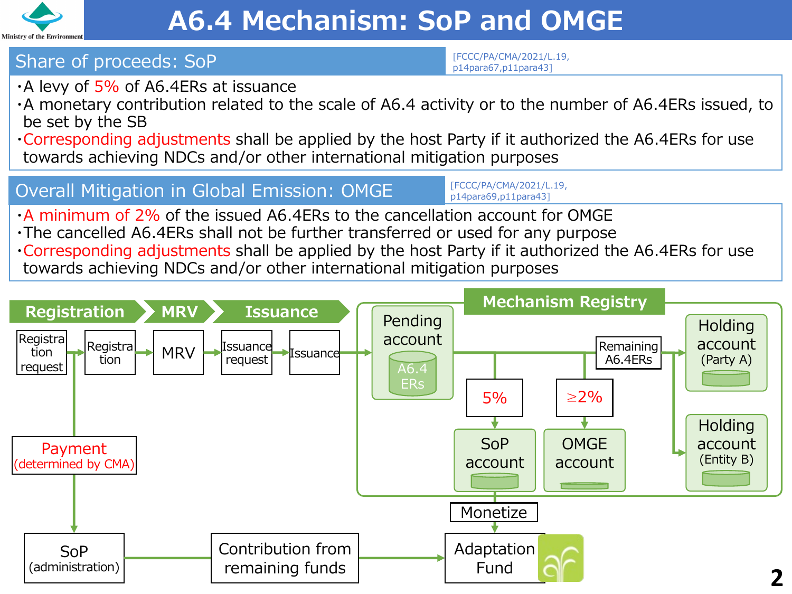

## Share of proceeds: SoP

[FCCC/PA/CMA/2021/L.19, p14para67,p11para43]

- $\cdot$ A levy of 5% of A6.4ERs at issuance
- ・A monetary contribution related to the scale of A6.4 activity or to the number of A6.4ERs issued, to be set by the SB
- ・Corresponding adjustments shall be applied by the host Party if it authorized the A6.4ERs for use towards achieving NDCs and/or other international mitigation purposes

#### Overall Mitigation in Global Emission: OMGE

[FCCC/PA/CMA/2021/L.19, p14para69,p11para43]

- ・A minimum of 2% of the issued A6.4ERs to the cancellation account for OMGE
- ・The cancelled A6.4ERs shall not be further transferred or used for any purpose ・Corresponding adjustments shall be applied by the host Party if it authorized the A6.4ERs for use towards achieving NDCs and/or other international mitigation purposes